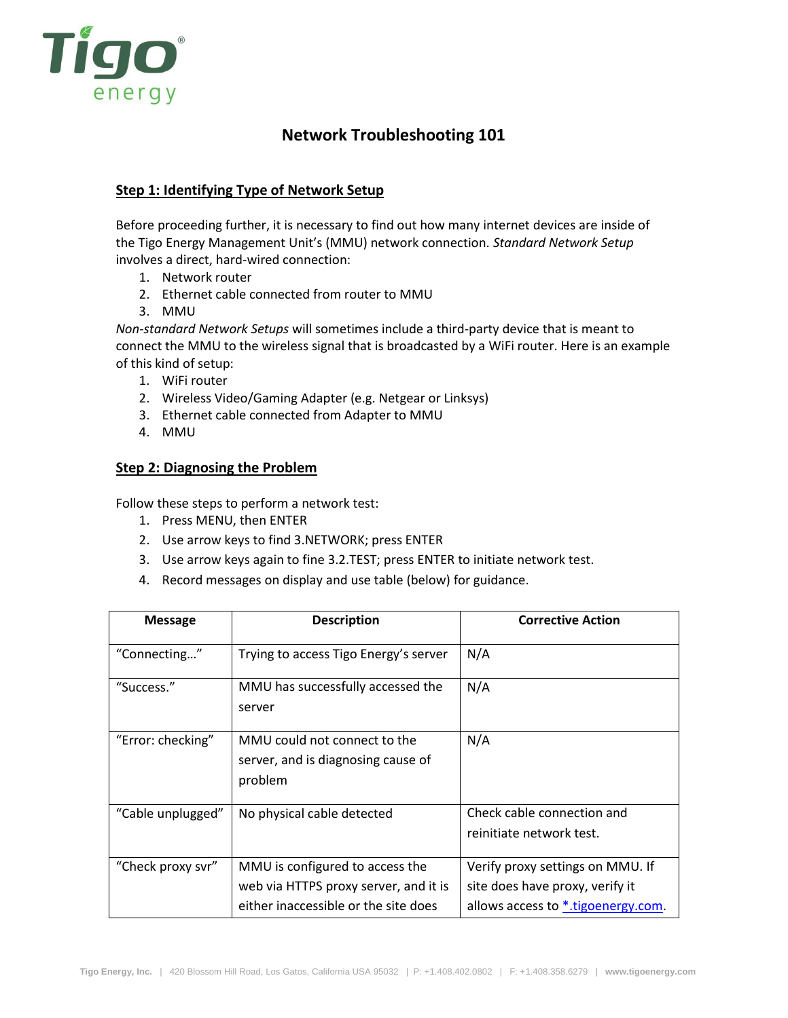

# **Network Troubleshooting 101**

## **Step 1: Identifying Type of Network Setup**

Before proceeding further, it is necessary to find out how many internet devices are inside of the Tigo Energy Management Unit's (MMU) network connection. *Standard Network Setup* involves a direct, hard-wired connection:

- 1. Network router
- 2. Ethernet cable connected from router to MMU
- 3. MMU

*Non-standard Network Setups* will sometimes include a third-party device that is meant to connect the MMU to the wireless signal that is broadcasted by a WiFi router. Here is an example of this kind of setup:

- 1. WiFi router
- 2. Wireless Video/Gaming Adapter (e.g. Netgear or Linksys)
- 3. Ethernet cable connected from Adapter to MMU
- 4. MMU

#### **Step 2: Diagnosing the Problem**

Follow these steps to perform a network test:

- 1. Press MENU, then ENTER
- 2. Use arrow keys to find 3.NETWORK; press ENTER
- 3. Use arrow keys again to fine 3.2.TEST; press ENTER to initiate network test.
- 4. Record messages on display and use table (below) for guidance.

| <b>Message</b>    | <b>Description</b>                                                                                               | <b>Corrective Action</b>                                                                                  |
|-------------------|------------------------------------------------------------------------------------------------------------------|-----------------------------------------------------------------------------------------------------------|
| "Connecting"      | Trying to access Tigo Energy's server                                                                            | N/A                                                                                                       |
| "Success."        | MMU has successfully accessed the<br>server                                                                      | N/A                                                                                                       |
| "Error: checking" | MMU could not connect to the<br>server, and is diagnosing cause of<br>problem                                    | N/A                                                                                                       |
| "Cable unplugged" | No physical cable detected                                                                                       | Check cable connection and<br>reinitiate network test.                                                    |
| "Check proxy svr" | MMU is configured to access the<br>web via HTTPS proxy server, and it is<br>either inaccessible or the site does | Verify proxy settings on MMU. If<br>site does have proxy, verify it<br>allows access to *.tigoenergy.com. |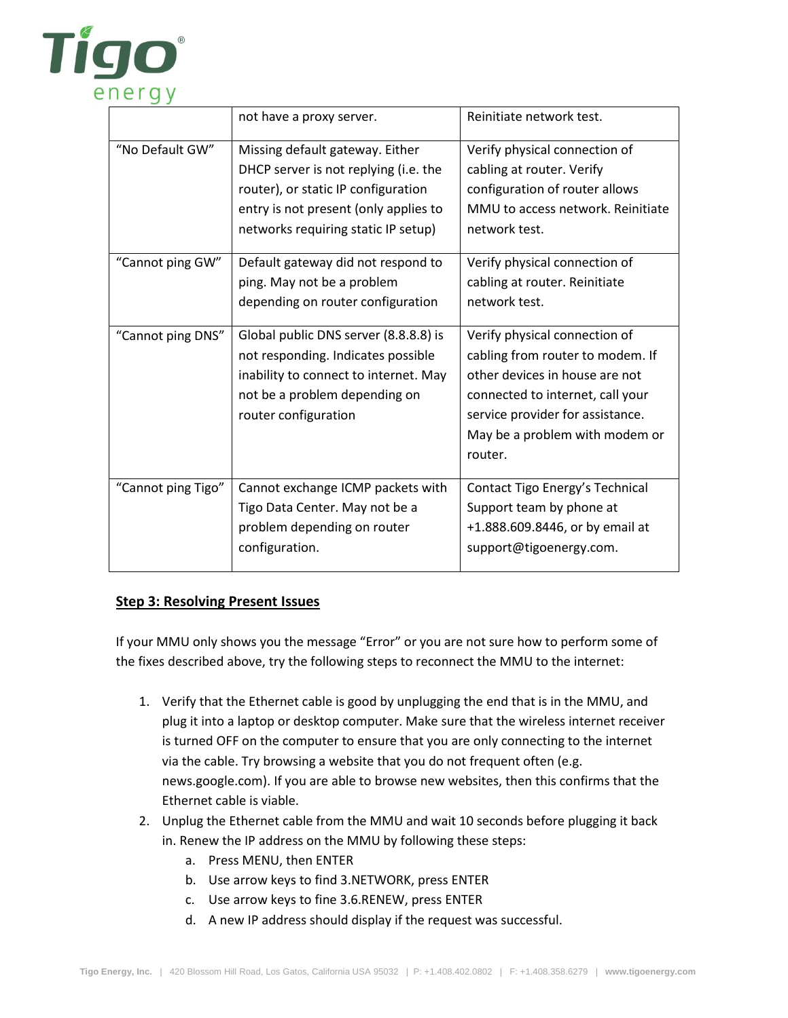

| TCTY               |                                       |                                   |
|--------------------|---------------------------------------|-----------------------------------|
|                    | not have a proxy server.              | Reinitiate network test.          |
| "No Default GW"    | Missing default gateway. Either       | Verify physical connection of     |
|                    | DHCP server is not replying (i.e. the | cabling at router. Verify         |
|                    | router), or static IP configuration   | configuration of router allows    |
|                    | entry is not present (only applies to | MMU to access network. Reinitiate |
|                    | networks requiring static IP setup)   | network test.                     |
| "Cannot ping GW"   | Default gateway did not respond to    | Verify physical connection of     |
|                    | ping. May not be a problem            | cabling at router. Reinitiate     |
|                    | depending on router configuration     | network test.                     |
| "Cannot ping DNS"  | Global public DNS server (8.8.8.8) is | Verify physical connection of     |
|                    | not responding. Indicates possible    | cabling from router to modem. If  |
|                    | inability to connect to internet. May | other devices in house are not    |
|                    | not be a problem depending on         | connected to internet, call your  |
|                    | router configuration                  | service provider for assistance.  |
|                    |                                       | May be a problem with modem or    |
|                    |                                       | router.                           |
| "Cannot ping Tigo" | Cannot exchange ICMP packets with     | Contact Tigo Energy's Technical   |
|                    | Tigo Data Center. May not be a        | Support team by phone at          |
|                    | problem depending on router           | +1.888.609.8446, or by email at   |
|                    | configuration.                        | support@tigoenergy.com.           |
|                    |                                       |                                   |

## **Step 3: Resolving Present Issues**

If your MMU only shows you the message "Error" or you are not sure how to perform some of the fixes described above, try the following steps to reconnect the MMU to the internet:

- 1. Verify that the Ethernet cable is good by unplugging the end that is in the MMU, and plug it into a laptop or desktop computer. Make sure that the wireless internet receiver is turned OFF on the computer to ensure that you are only connecting to the internet via the cable. Try browsing a website that you do not frequent often (e.g. news.google.com). If you are able to browse new websites, then this confirms that the Ethernet cable is viable.
- 2. Unplug the Ethernet cable from the MMU and wait 10 seconds before plugging it back in. Renew the IP address on the MMU by following these steps:
	- a. Press MENU, then ENTER
	- b. Use arrow keys to find 3.NETWORK, press ENTER
	- c. Use arrow keys to fine 3.6.RENEW, press ENTER
	- d. A new IP address should display if the request was successful.